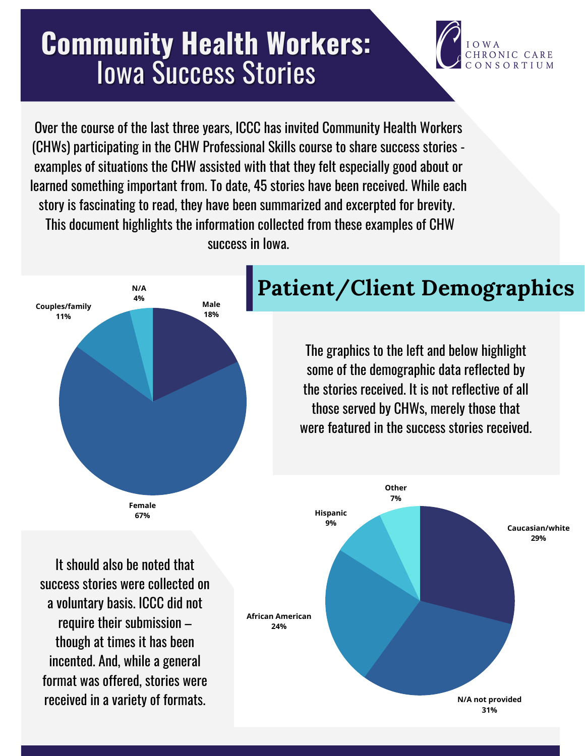# **Community Health Workers:** Iowa Success Stories



Over the course of the last three years, ICCC has invited Community Health Workers (CHWs) participating in the CHW Professional Skills course to share success stories examples of situations the CHW assisted with that they felt especially good about or learned something important from. To date, 45 stories have been received. While each story is fascinating to read, they have been summarized and excerpted for brevity. This document highlights the information collected from these examples of CHW success in Iowa.

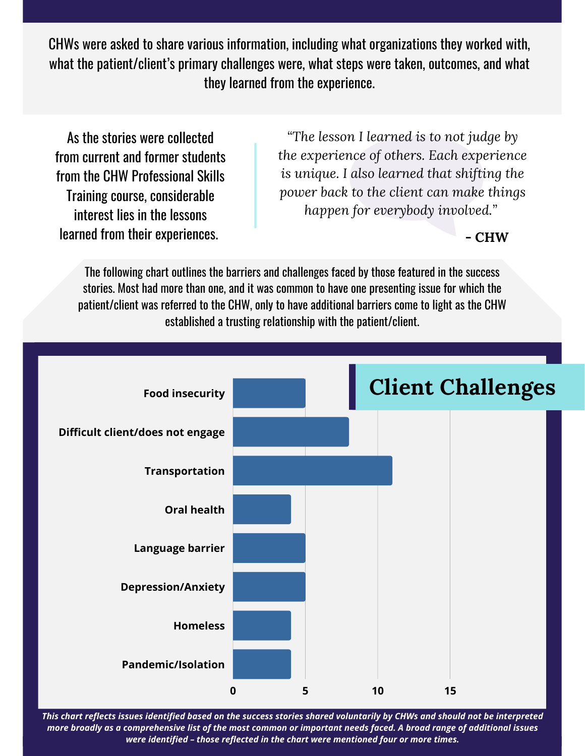CHWs were asked to share various information, including what organizations they worked with, what the patient/client's primary challenges were, what steps were taken, outcomes, and what they learned from the experience.

As the stories were collected from current and former students from the CHW Professional Skills Training course, considerable interest lies in the lessons learned from their experiences.

*"The lesson I learned is to not judge by the experience of others. Each experience is unique. I also learned that shifting the power back to the client can make things happen for everybody involved."*

#### **- CHW**

The following chart outlines the barriers and challenges faced by those featured in the success stories. Most had more than one, and it was common to have one presenting issue for which the patient/client was referred to the CHW, only to have additional barriers come to light as the CHW established a trusting relationship with the patient/client.



This chart reflects issues identified based on the success stories shared voluntarily by CHWs and should not be interpreted more broadly as a comprehensive list of the most common or important needs faced. A broad range of additional issues *were identified – those reflected in the chart were mentioned four or more times.*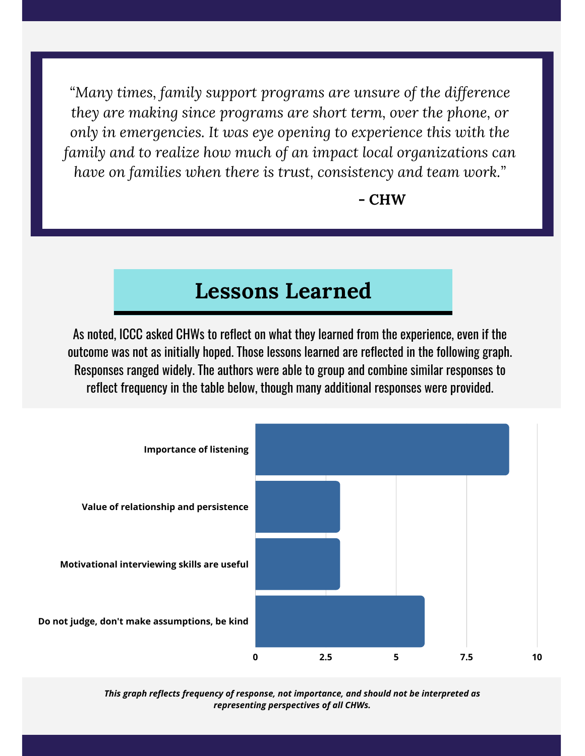*"Many times, family support programs are unsure of the difference they are making since programs are short term, over the phone, or only in emergencies. It was eye opening to experience this with the family and to realize how much of an impact local organizations can have on families when there is trust, consistency and team work."*

**- CHW**

### **Lessons Learned**

As noted, ICCC asked CHWs to reflect on what they learned from the experience, even if the outcome was not as initially hoped. Those lessons learned are reflected in the following graph. Responses ranged widely. The authors were able to group and combine similar responses to reflect frequency in the table below, though many additional responses were provided.



*This graph reflects frequency of response, not importance, and should not be interpreted as representing perspectives of all CHWs.*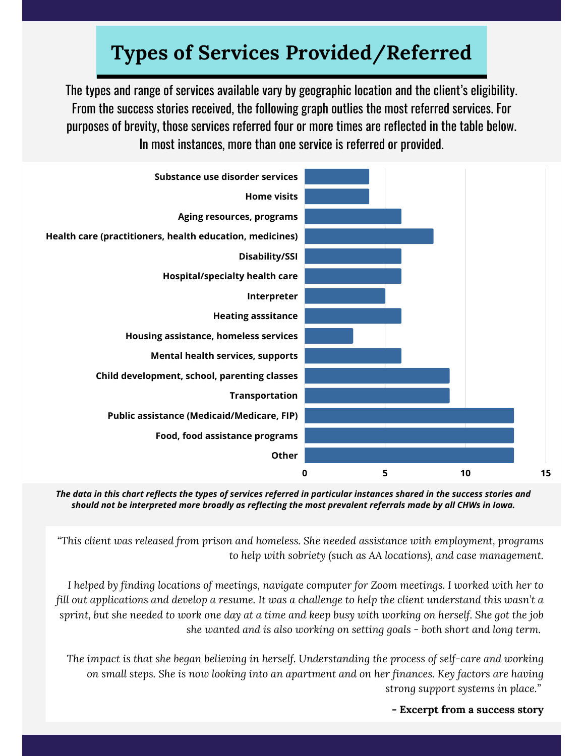### **Types of Services Provided/Referred**

The types and range of services available vary by geographic location and the client's eligibility. From the success stories received, the following graph outlies the most referred services. For purposes of brevity, those services referred four or more times are reflected in the table below. In most instances, more than one service is referred or provided.



The data in this chart reflects the types of services referred in particular instances shared in the success stories and should not be interpreted more broadly as reflecting the most prevalent referrals made by all CHWs in Iowa.

*"This client was released from prison and homeless. She needed assistance with employment, programs to help with sobriety (such as AA locations), and case management.*

*I helped by finding locations of meetings, navigate computer for Zoom meetings. I worked with her to* fill out applications and develop a resume. It was a challenge to help the client understand this wasn't a sprint, but she needed to work one day at a time and keep busy with working on herself. She got the job *she wanted and is also working on setting goals - both short and long term.*

*The impact is that she began believing in herself. Understanding the process of self-care and working on small steps. She is now looking into an apartment and on her finances. Key factors are having strong support systems in place."*

**- Excerpt from a success story**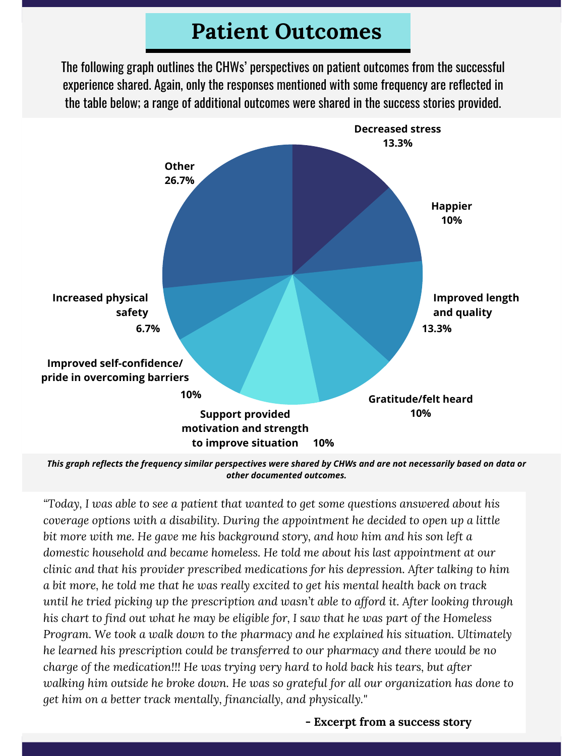### **Patient Outcomes**

The following graph outlines the CHWs' perspectives on patient outcomes from the successful experience shared. Again, only the responses mentioned with some frequency are reflected in the table below; a range of additional outcomes were shared in the success stories provided.



This graph reflects the frequency similar perspectives were shared by CHWs and are not necessarily based on data or *other documented outcomes.*

*"Today, I was able to see a patient that wanted to get some questions answered about his coverage options with a disability. During the appointment he decided to open up a little bit more with me. He gave me his background story, and how him and his son left a domestic household and became homeless. He told me about his last appointment at our clinic and that his provider prescribed medications for his depression. After talking to him a bit more, he told me that he was really excited to get his mental health back on track until he tried picking up the prescription and wasn't able to afford it. After looking through* his chart to find out what he may be eligible for, I saw that he was part of the Homeless *Program. We took a walk down to the pharmacy and he explained his situation. Ultimately he learned his prescription could be transferred to our pharmacy and there would be no charge of the medication!!! He was trying very hard to hold back his tears, but after walking him outside he broke down. He was so grateful for all our organization has done to get him on a better track mentally, financially, and physically."*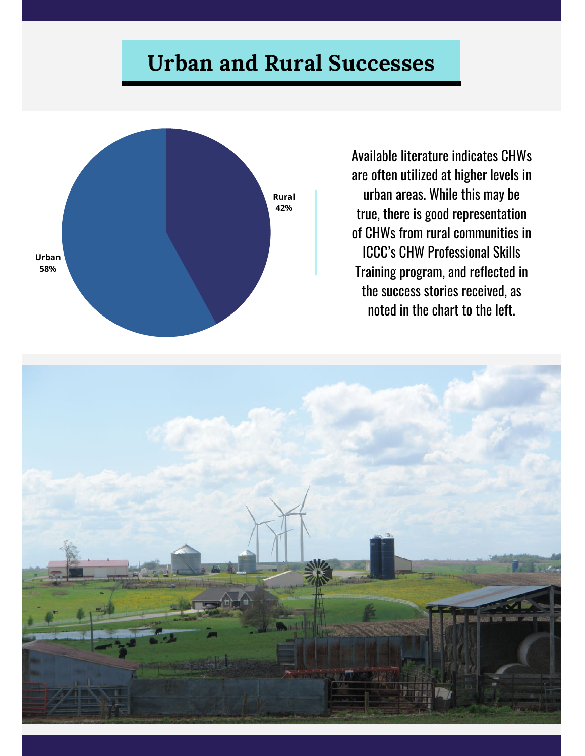## **Urban and Rural Successes**



Available literature indicates CHWs are often utilized at higher levels in urban areas. While this may be true, there is good representation of CHWs from rural communities in ICCC's CHW Professional Skills Training program, and reflected in the success stories received, as noted in the chart to the left.

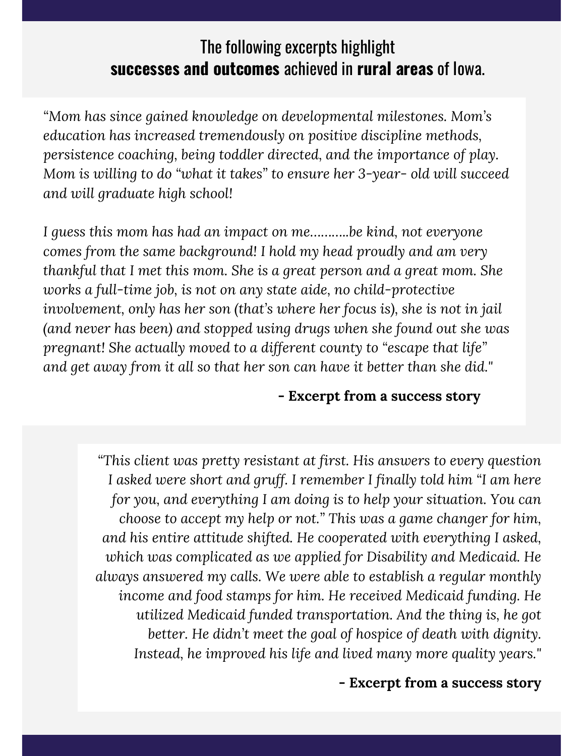#### The following excerpts highlight **successes and outcomes** achieved in **rural areas** of Iowa.

*"Mom has since gained knowledge on developmental milestones. Mom's education has increased tremendously on positive discipline methods, persistence coaching, being toddler directed, and the importance of play. Mom is willing to do "what it takes" to ensure her 3-year- old will succeed and will graduate high school!*

*I guess this mom has had an impact on me………..be kind, not everyone comes from the same background! I hold my head proudly and am very thankful that I met this mom. She is a great person and a great mom. She works a full-time job, is not on any state aide, no child-protective involvement, only has her son (that's where her focus is), she is not in jail (and never has been) and stopped using drugs when she found out she was pregnant! She actually moved to a different county to "escape that life" and get away from it all so that her son can have it better than she did."*

#### **- Excerpt from a success story**

*"This client was pretty resistant at first. His answers to every question I asked were short and gruff. I remember I finally told him "I am here for you, and everything I am doing is to help your situation. You can choose to accept my help or not." This was a game changer for him, and his entire attitude shifted. He cooperated with everything I asked, which was complicated as we applied for Disability and Medicaid. He always answered my calls. We were able to establish a regular monthly income and food stamps for him. He received Medicaid funding. He utilized Medicaid funded transportation. And the thing is, he got better. He didn't meet the goal of hospice of death with dignity. Instead, he improved his life and lived many more quality years."*

#### **- Excerpt from a success story**